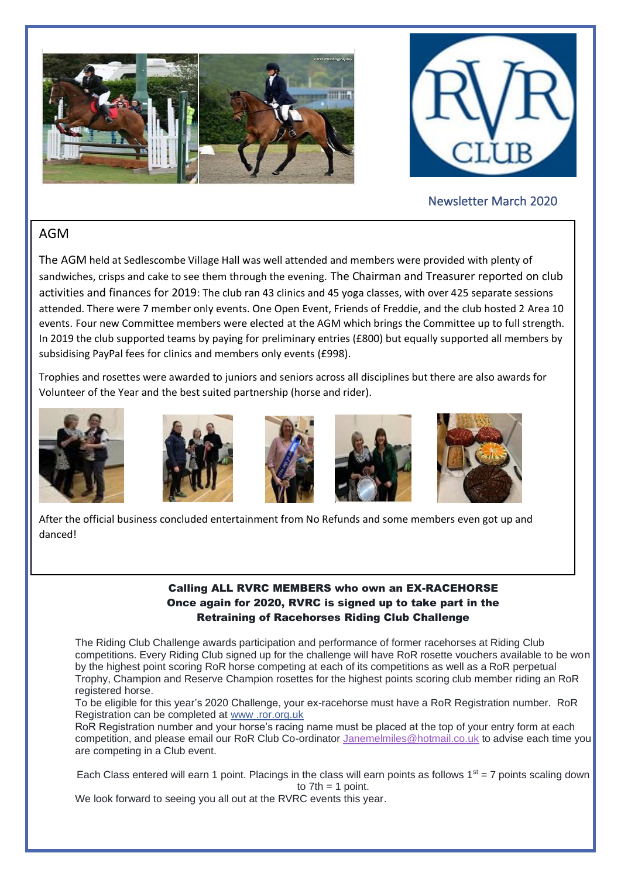



# Newsletter March 2020

## AGM

The AGM held at Sedlescombe Village Hall was well attended and members were provided with plenty of sandwiches, crisps and cake to see them through the evening. The Chairman and Treasurer reported on club activities and finances for 2019: The club ran 43 clinics and 45 yoga classes, with over 425 separate sessions attended. There were 7 member only events. One Open Event, Friends of Freddie, and the club hosted 2 Area 10 events. Four new Committee members were elected at the AGM which brings the Committee up to full strength. In 2019 the club supported teams by paying for preliminary entries (£800) but equally supported all members by subsidising PayPal fees for clinics and members only events (£998).

Trophies and rosettes were awarded to juniors and seniors across all disciplines but there are also awards for Volunteer of the Year and the best suited partnership (horse and rider).











After the official business concluded entertainment from No Refunds and some members even got up and danced!

#### Calling ALL RVRC MEMBERS who own an EX-RACEHORSE Once again for 2020, RVRC is signed up to take part in the Retraining of Racehorses Riding Club Challenge

The Riding Club Challenge awards participation and performance of former racehorses at Riding Club competitions. Every Riding Club signed up for the challenge will have RoR rosette vouchers available to be won by the highest point scoring RoR horse competing at each of its competitions as well as a RoR perpetual Trophy, Champion and Reserve Champion rosettes for the highest points scoring club member riding an RoR registered horse.

To be eligible for this year's 2020 Challenge, your ex-racehorse must have a RoR Registration number. RoR Registration can be completed at [www .ror.org.uk](https://l.facebook.com/l.php?u=http%3A%2F%2Fwww.ror.org.uk%2F%3Ffbclid%3DIwAR29ZqIRZENUkuTRxEX2oUdJ77dGeNnCbxma6cn1CUzWn5JaeDlD943Y5tE&h=AT2xdR4bpj2FKujqHu7KXpFBHgZw2vD1W2nIGUbqLMgX8yAR7i30nws2kRTECD2rfgL0sYL3S7TweD2ldNex1wAL1_NUUhoJzbwleW1e5EXGzOLjs9mHBaG1EZzvARJrxMp5ZFh6YmW1HzRfOw)

RoR Registration number and your horse's racing name must be placed at the top of your entry form at each competition, and please email our RoR Club Co-ordinator [Janemelmiles@hotmail.co.uk](mailto:Janemelmiles@hotmail.co.uk) to advise each time you are competing in a Club event.

Each Class entered will earn 1 point. Placings in the class will earn points as follows  $1<sup>st</sup> = 7$  points scaling down to  $7th = 1$  point.

We look forward to seeing you all out at the RVRC events this year.